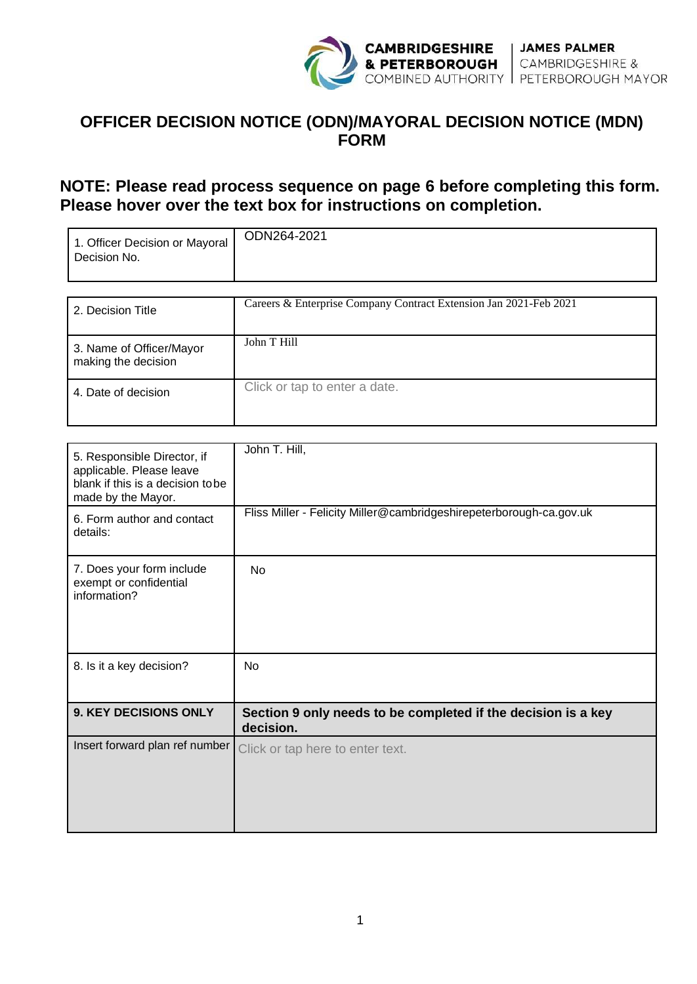

## **OFFICER DECISION NOTICE (ODN)/MAYORAL DECISION NOTICE (MDN) FORM**

## **NOTE: Please read process sequence on page 6 before completing this form. Please hover over the text box for instructions on completion.**

| 1. Officer Decision or Mayoral<br>Decision No. | ODN264-2021                                                       |  |
|------------------------------------------------|-------------------------------------------------------------------|--|
| 2. Decision Title                              | Careers & Enterprise Company Contract Extension Jan 2021-Feb 2021 |  |

| 3. Name of Officer/Mayor<br>making the decision | John T Hill                   |
|-------------------------------------------------|-------------------------------|
| 4. Date of decision                             | Click or tap to enter a date. |

| 5. Responsible Director, if<br>applicable. Please leave<br>blank if this is a decision tobe<br>made by the Mayor. | John T. Hill,                                                              |
|-------------------------------------------------------------------------------------------------------------------|----------------------------------------------------------------------------|
| 6. Form author and contact<br>details:                                                                            | Fliss Miller - Felicity Miller@cambridgeshirepeterborough-ca.gov.uk        |
| 7. Does your form include<br>exempt or confidential<br>information?                                               | <b>No</b>                                                                  |
| 8. Is it a key decision?                                                                                          | N <sub>o</sub>                                                             |
| <b>9. KEY DECISIONS ONLY</b>                                                                                      | Section 9 only needs to be completed if the decision is a key<br>decision. |
| Insert forward plan ref number                                                                                    | Click or tap here to enter text.                                           |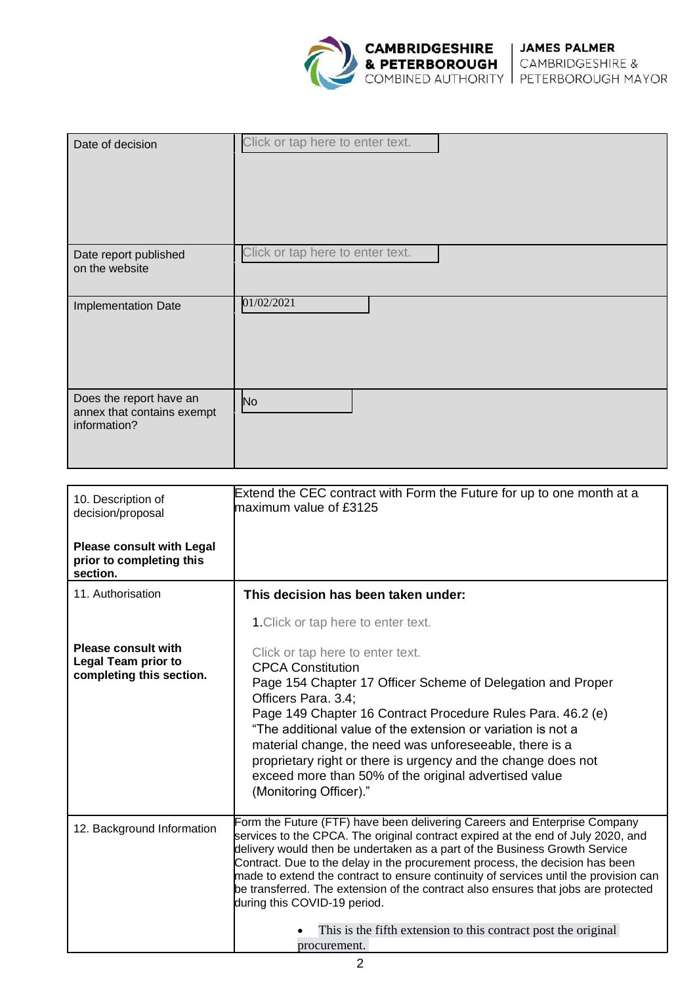

| Date of decision                                                      | Click or tap here to enter text. |  |
|-----------------------------------------------------------------------|----------------------------------|--|
| Date report published<br>on the website                               | Click or tap here to enter text. |  |
| Implementation Date                                                   | 01/02/2021                       |  |
| Does the report have an<br>annex that contains exempt<br>information? | N <sub>o</sub>                   |  |

| 10. Description of<br>decision/proposal<br><b>Please consult with Legal</b><br>prior to completing this | Extend the CEC contract with Form the Future for up to one month at a<br>maximum value of £3125                                                                                                                                                                                                                                                                                                                     |
|---------------------------------------------------------------------------------------------------------|---------------------------------------------------------------------------------------------------------------------------------------------------------------------------------------------------------------------------------------------------------------------------------------------------------------------------------------------------------------------------------------------------------------------|
| section.                                                                                                |                                                                                                                                                                                                                                                                                                                                                                                                                     |
| 11. Authorisation                                                                                       | This decision has been taken under:                                                                                                                                                                                                                                                                                                                                                                                 |
|                                                                                                         | 1. Click or tap here to enter text.                                                                                                                                                                                                                                                                                                                                                                                 |
| <b>Please consult with</b><br><b>Legal Team prior to</b>                                                | Click or tap here to enter text.<br><b>CPCA Constitution</b>                                                                                                                                                                                                                                                                                                                                                        |
| completing this section.                                                                                | Page 154 Chapter 17 Officer Scheme of Delegation and Proper<br>Officers Para. 3.4:                                                                                                                                                                                                                                                                                                                                  |
|                                                                                                         | Page 149 Chapter 16 Contract Procedure Rules Para. 46.2 (e)<br>"The additional value of the extension or variation is not a<br>material change, the need was unforeseeable, there is a<br>proprietary right or there is urgency and the change does not<br>exceed more than 50% of the original advertised value<br>(Monitoring Officer)."                                                                          |
| 12. Background Information                                                                              | Form the Future (FTF) have been delivering Careers and Enterprise Company<br>services to the CPCA. The original contract expired at the end of July 2020, and<br>delivery would then be undertaken as a part of the Business Growth Service<br>Contract. Due to the delay in the procurement process, the decision has been<br>made to extend the contract to ensure continuity of services until the provision can |
|                                                                                                         | be transferred. The extension of the contract also ensures that jobs are protected<br>during this COVID-19 period.                                                                                                                                                                                                                                                                                                  |
|                                                                                                         | This is the fifth extension to this contract post the original<br>procurement.                                                                                                                                                                                                                                                                                                                                      |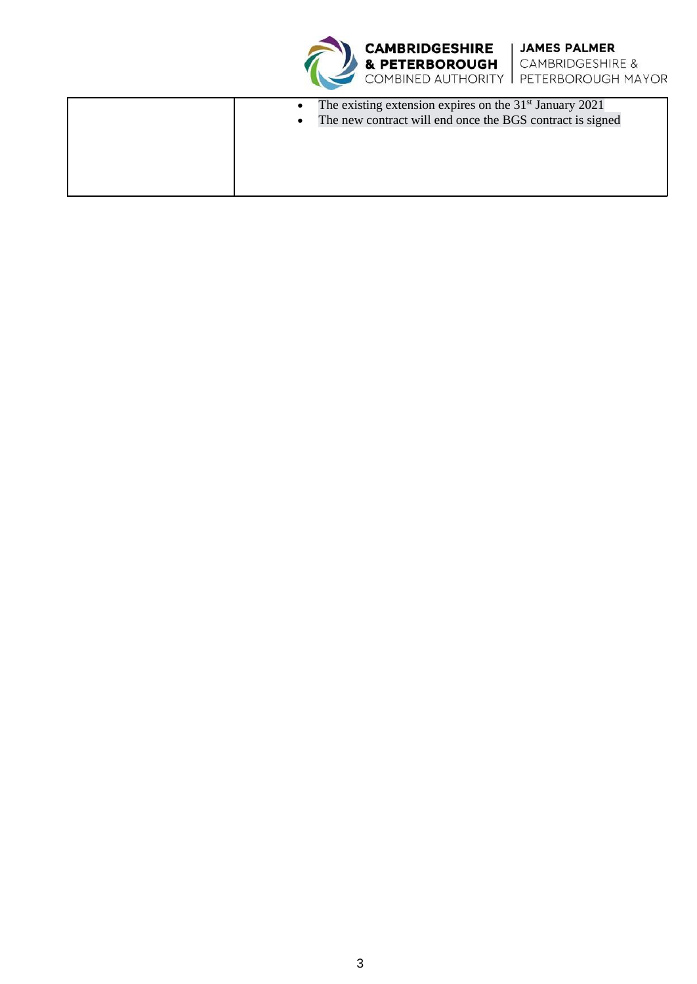



| The existing extension expires on the $31st$ January 2021 |
|-----------------------------------------------------------|
| The new contract will end once the BGS contract is signed |
|                                                           |
|                                                           |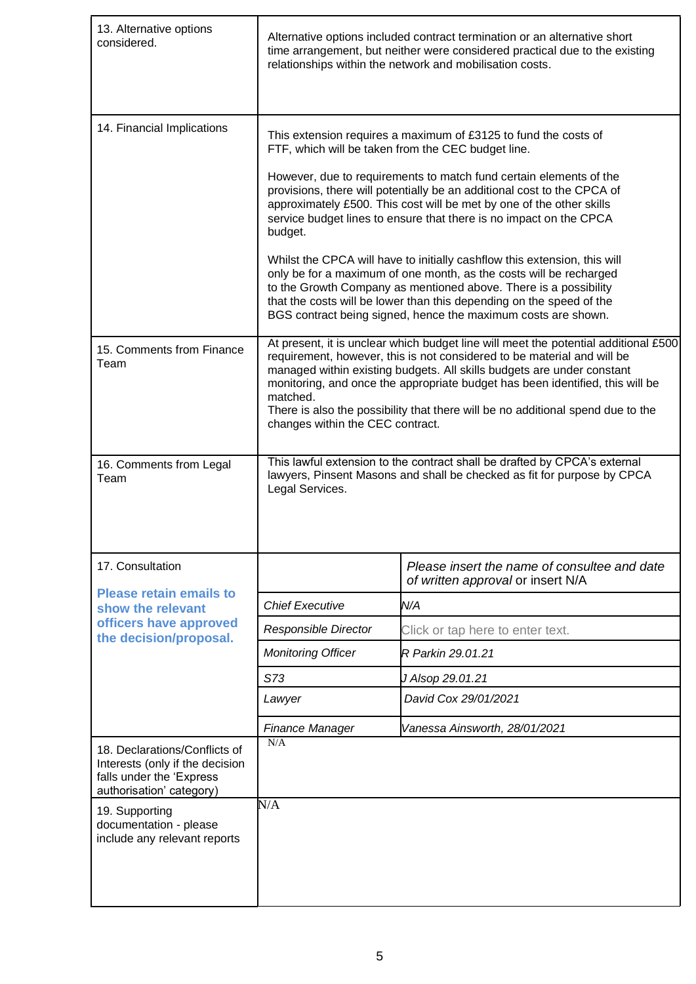| 13. Alternative options<br>considered.                                                                                   | Alternative options included contract termination or an alternative short<br>time arrangement, but neither were considered practical due to the existing<br>relationships within the network and mobilisation costs.                                                                                                                                                                                                                                                                                                                                                                                                                                                   |                                                                                   |  |  |
|--------------------------------------------------------------------------------------------------------------------------|------------------------------------------------------------------------------------------------------------------------------------------------------------------------------------------------------------------------------------------------------------------------------------------------------------------------------------------------------------------------------------------------------------------------------------------------------------------------------------------------------------------------------------------------------------------------------------------------------------------------------------------------------------------------|-----------------------------------------------------------------------------------|--|--|
| 14. Financial Implications                                                                                               | This extension requires a maximum of £3125 to fund the costs of<br>FTF, which will be taken from the CEC budget line.                                                                                                                                                                                                                                                                                                                                                                                                                                                                                                                                                  |                                                                                   |  |  |
|                                                                                                                          | However, due to requirements to match fund certain elements of the<br>provisions, there will potentially be an additional cost to the CPCA of<br>approximately £500. This cost will be met by one of the other skills<br>service budget lines to ensure that there is no impact on the CPCA<br>budget.<br>Whilst the CPCA will have to initially cashflow this extension, this will<br>only be for a maximum of one month, as the costs will be recharged<br>to the Growth Company as mentioned above. There is a possibility<br>that the costs will be lower than this depending on the speed of the<br>BGS contract being signed, hence the maximum costs are shown. |                                                                                   |  |  |
|                                                                                                                          |                                                                                                                                                                                                                                                                                                                                                                                                                                                                                                                                                                                                                                                                        |                                                                                   |  |  |
| 15. Comments from Finance<br>Team                                                                                        | At present, it is unclear which budget line will meet the potential additional £500<br>requirement, however, this is not considered to be material and will be<br>managed within existing budgets. All skills budgets are under constant<br>monitoring, and once the appropriate budget has been identified, this will be<br>matched.<br>There is also the possibility that there will be no additional spend due to the<br>changes within the CEC contract.                                                                                                                                                                                                           |                                                                                   |  |  |
| 16. Comments from Legal<br>Team                                                                                          | This lawful extension to the contract shall be drafted by CPCA's external<br>lawyers, Pinsent Masons and shall be checked as fit for purpose by CPCA<br>Legal Services.                                                                                                                                                                                                                                                                                                                                                                                                                                                                                                |                                                                                   |  |  |
| 17. Consultation                                                                                                         |                                                                                                                                                                                                                                                                                                                                                                                                                                                                                                                                                                                                                                                                        | Please insert the name of consultee and date<br>of written approval or insert N/A |  |  |
| <b>Please retain emails to</b><br>show the relevant                                                                      | <b>Chief Executive</b>                                                                                                                                                                                                                                                                                                                                                                                                                                                                                                                                                                                                                                                 | N/A                                                                               |  |  |
| officers have approved                                                                                                   | Responsible Director                                                                                                                                                                                                                                                                                                                                                                                                                                                                                                                                                                                                                                                   | Click or tap here to enter text.                                                  |  |  |
| the decision/proposal.                                                                                                   | <b>Monitoring Officer</b>                                                                                                                                                                                                                                                                                                                                                                                                                                                                                                                                                                                                                                              | R Parkin 29.01.21                                                                 |  |  |
|                                                                                                                          | S73                                                                                                                                                                                                                                                                                                                                                                                                                                                                                                                                                                                                                                                                    | J Alsop 29.01.21                                                                  |  |  |
|                                                                                                                          | Lawyer                                                                                                                                                                                                                                                                                                                                                                                                                                                                                                                                                                                                                                                                 | David Cox 29/01/2021                                                              |  |  |
|                                                                                                                          | Finance Manager                                                                                                                                                                                                                                                                                                                                                                                                                                                                                                                                                                                                                                                        | Vanessa Ainsworth, 28/01/2021                                                     |  |  |
| 18. Declarations/Conflicts of<br>Interests (only if the decision<br>falls under the 'Express<br>authorisation' category) | N/A                                                                                                                                                                                                                                                                                                                                                                                                                                                                                                                                                                                                                                                                    |                                                                                   |  |  |
| 19. Supporting<br>documentation - please<br>include any relevant reports                                                 | N/A                                                                                                                                                                                                                                                                                                                                                                                                                                                                                                                                                                                                                                                                    |                                                                                   |  |  |